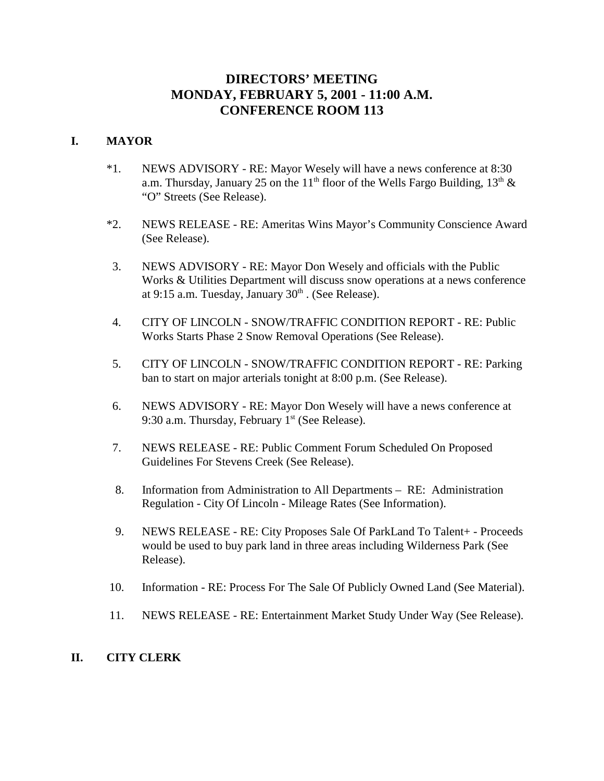# **DIRECTORS' MEETING MONDAY, FEBRUARY 5, 2001 - 11:00 A.M. CONFERENCE ROOM 113**

## **I. MAYOR**

- \*1. NEWS ADVISORY RE: Mayor Wesely will have a news conference at 8:30 a.m. Thursday, January 25 on the 11<sup>th</sup> floor of the Wells Fargo Building, 13<sup>th</sup> & "O" Streets (See Release).
- \*2. NEWS RELEASE RE: Ameritas Wins Mayor's Community Conscience Award (See Release).
- 3. NEWS ADVISORY RE: Mayor Don Wesely and officials with the Public Works & Utilities Department will discuss snow operations at a news conference at 9:15 a.m. Tuesday, January  $30<sup>th</sup>$ . (See Release).
- 4. CITY OF LINCOLN SNOW/TRAFFIC CONDITION REPORT RE: Public Works Starts Phase 2 Snow Removal Operations (See Release).
- 5. CITY OF LINCOLN SNOW/TRAFFIC CONDITION REPORT RE: Parking ban to start on major arterials tonight at 8:00 p.m. (See Release).
- 6. NEWS ADVISORY RE: Mayor Don Wesely will have a news conference at 9:30 a.m. Thursday, February  $1<sup>st</sup>$  (See Release).
- 7. NEWS RELEASE RE: Public Comment Forum Scheduled On Proposed Guidelines For Stevens Creek (See Release).
- 8. Information from Administration to All Departments RE: Administration Regulation - City Of Lincoln - Mileage Rates (See Information).
- 9. NEWS RELEASE RE: City Proposes Sale Of ParkLand To Talent+ Proceeds would be used to buy park land in three areas including Wilderness Park (See Release).
- 10. Information RE: Process For The Sale Of Publicly Owned Land (See Material).
- 11. NEWS RELEASE RE: Entertainment Market Study Under Way (See Release).

### **II. CITY CLERK**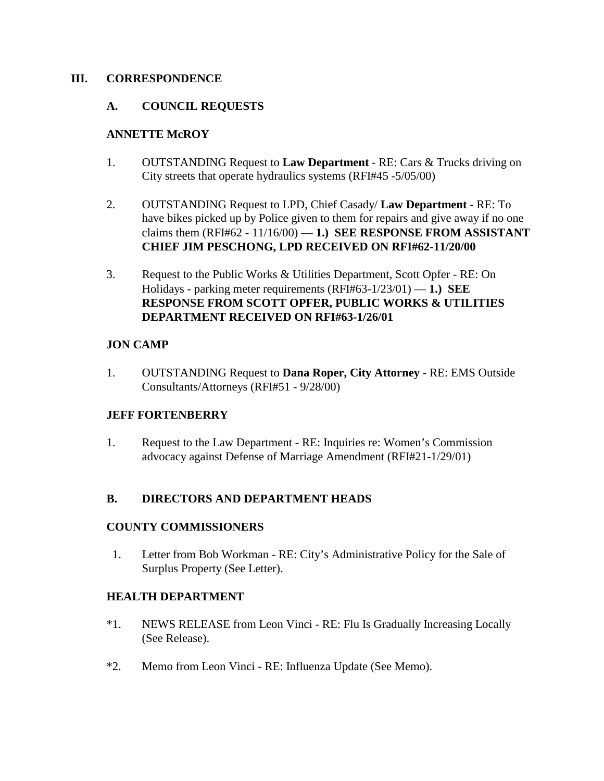## **III. CORRESPONDENCE**

## **A. COUNCIL REQUESTS**

## **ANNETTE McROY**

- 1. OUTSTANDING Request to **Law Department** RE: Cars & Trucks driving on City streets that operate hydraulics systems (RFI#45 -5/05/00)
- 2. OUTSTANDING Request to LPD, Chief Casady/ **Law Department** RE: To have bikes picked up by Police given to them for repairs and give away if no one claims them  $(RFI#62 - 11/16/00) - 1$ .) **SEE RESPONSE FROM ASSISTANT CHIEF JIM PESCHONG, LPD RECEIVED ON RFI#62-11/20/00**
- 3. Request to the Public Works & Utilities Department, Scott Opfer RE: On Holidays - parking meter requirements (RFI#63-1/23/01) — **1.) SEE RESPONSE FROM SCOTT OPFER, PUBLIC WORKS & UTILITIES DEPARTMENT RECEIVED ON RFI#63-1/26/01**

## **JON CAMP**

1. OUTSTANDING Request to **Dana Roper, City Attorney** - RE: EMS Outside Consultants/Attorneys (RFI#51 - 9/28/00)

## **JEFF FORTENBERRY**

1. Request to the Law Department - RE: Inquiries re: Women's Commission advocacy against Defense of Marriage Amendment (RFI#21-1/29/01)

## **B. DIRECTORS AND DEPARTMENT HEADS**

### **COUNTY COMMISSIONERS**

 1. Letter from Bob Workman - RE: City's Administrative Policy for the Sale of Surplus Property (See Letter).

## **HEALTH DEPARTMENT**

- \*1. NEWS RELEASE from Leon Vinci RE: Flu Is Gradually Increasing Locally (See Release).
- \*2. Memo from Leon Vinci RE: Influenza Update (See Memo).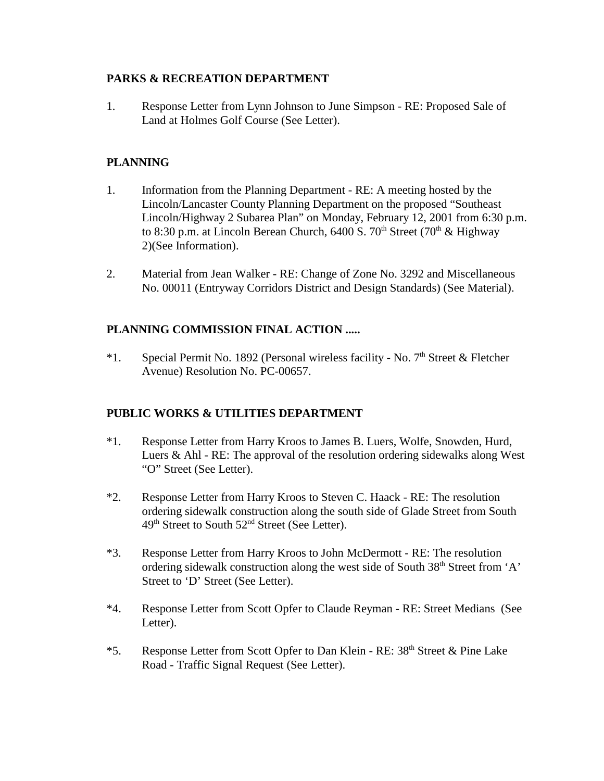## **PARKS & RECREATION DEPARTMENT**

1. Response Letter from Lynn Johnson to June Simpson - RE: Proposed Sale of Land at Holmes Golf Course (See Letter).

# **PLANNING**

- 1. Information from the Planning Department RE: A meeting hosted by the Lincoln/Lancaster County Planning Department on the proposed "Southeast Lincoln/Highway 2 Subarea Plan" on Monday, February 12, 2001 from 6:30 p.m. to 8:30 p.m. at Lincoln Berean Church,  $6400$  S.  $70<sup>th</sup>$  Street ( $70<sup>th</sup>$  & Highway 2)(See Information).
- 2. Material from Jean Walker RE: Change of Zone No. 3292 and Miscellaneous No. 00011 (Entryway Corridors District and Design Standards) (See Material).

# **PLANNING COMMISSION FINAL ACTION .....**

\*1. Special Permit No. 1892 (Personal wireless facility - No.  $7<sup>th</sup>$  Street & Fletcher Avenue) Resolution No. PC-00657.

# **PUBLIC WORKS & UTILITIES DEPARTMENT**

- \*1. Response Letter from Harry Kroos to James B. Luers, Wolfe, Snowden, Hurd, Luers & Ahl - RE: The approval of the resolution ordering sidewalks along West "O" Street (See Letter).
- \*2. Response Letter from Harry Kroos to Steven C. Haack RE: The resolution ordering sidewalk construction along the south side of Glade Street from South 49th Street to South 52nd Street (See Letter).
- \*3. Response Letter from Harry Kroos to John McDermott RE: The resolution ordering sidewalk construction along the west side of South 38<sup>th</sup> Street from 'A' Street to 'D' Street (See Letter).
- \*4. Response Letter from Scott Opfer to Claude Reyman RE: Street Medians (See Letter).
- \*5. Response Letter from Scott Opfer to Dan Klein RE: 38<sup>th</sup> Street & Pine Lake Road - Traffic Signal Request (See Letter).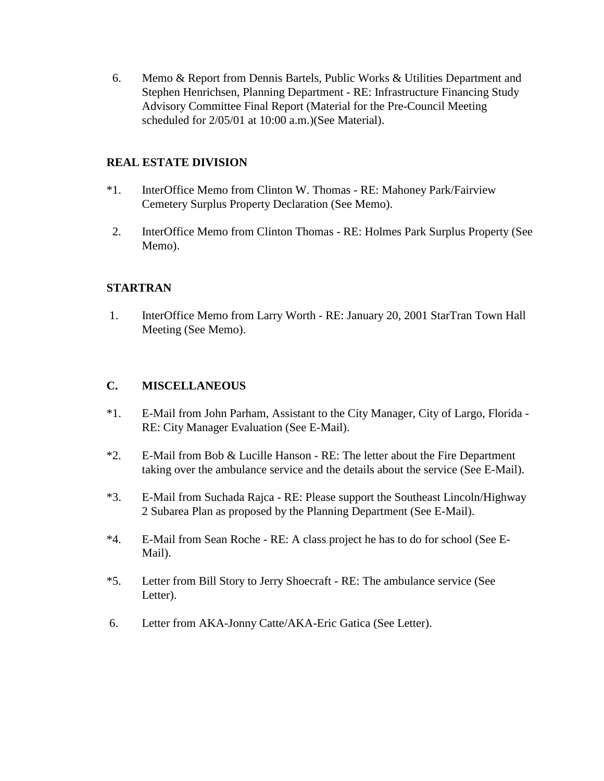6. Memo & Report from Dennis Bartels, Public Works & Utilities Department and Stephen Henrichsen, Planning Department - RE: Infrastructure Financing Study Advisory Committee Final Report (Material for the Pre-Council Meeting scheduled for 2/05/01 at 10:00 a.m.)(See Material).

## **REAL ESTATE DIVISION**

- \*1. InterOffice Memo from Clinton W. Thomas RE: Mahoney Park/Fairview Cemetery Surplus Property Declaration (See Memo).
- 2. InterOffice Memo from Clinton Thomas RE: Holmes Park Surplus Property (See Memo).

## **STARTRAN**

 1. InterOffice Memo from Larry Worth - RE: January 20, 2001 StarTran Town Hall Meeting (See Memo).

## **C. MISCELLANEOUS**

- \*1. E-Mail from John Parham, Assistant to the City Manager, City of Largo, Florida RE: City Manager Evaluation (See E-Mail).
- \*2. E-Mail from Bob & Lucille Hanson RE: The letter about the Fire Department taking over the ambulance service and the details about the service (See E-Mail).
- \*3. E-Mail from Suchada Rajca RE: Please support the Southeast Lincoln/Highway 2 Subarea Plan as proposed by the Planning Department (See E-Mail).
- \*4. E-Mail from Sean Roche RE: A class project he has to do for school (See E-Mail).
- \*5. Letter from Bill Story to Jerry Shoecraft RE: The ambulance service (See Letter).
- 6. Letter from AKA-Jonny Catte/AKA-Eric Gatica (See Letter).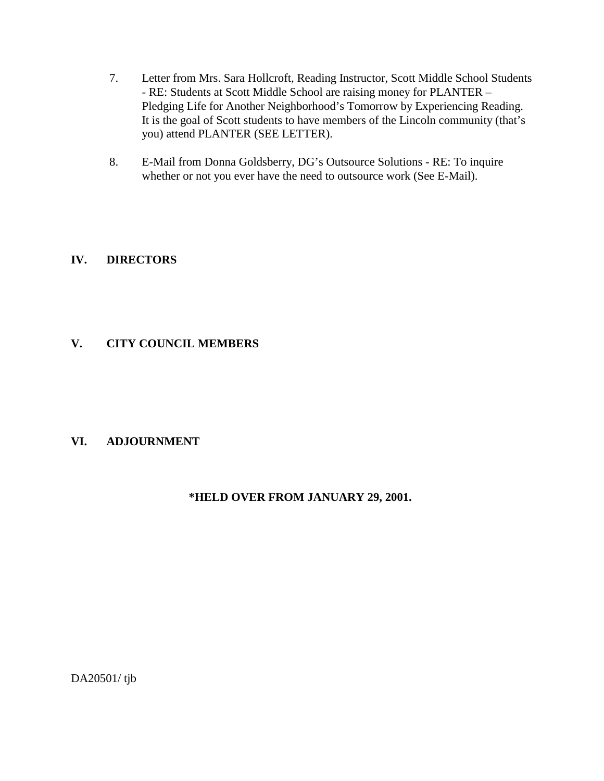- 7. Letter from Mrs. Sara Hollcroft, Reading Instructor, Scott Middle School Students - RE: Students at Scott Middle School are raising money for PLANTER – Pledging Life for Another Neighborhood's Tomorrow by Experiencing Reading. It is the goal of Scott students to have members of the Lincoln community (that's you) attend PLANTER (SEE LETTER).
- 8. E-Mail from Donna Goldsberry, DG's Outsource Solutions RE: To inquire whether or not you ever have the need to outsource work (See E-Mail).

## **IV. DIRECTORS**

## **V. CITY COUNCIL MEMBERS**

## **VI. ADJOURNMENT**

## **\*HELD OVER FROM JANUARY 29, 2001.**

DA20501/ tjb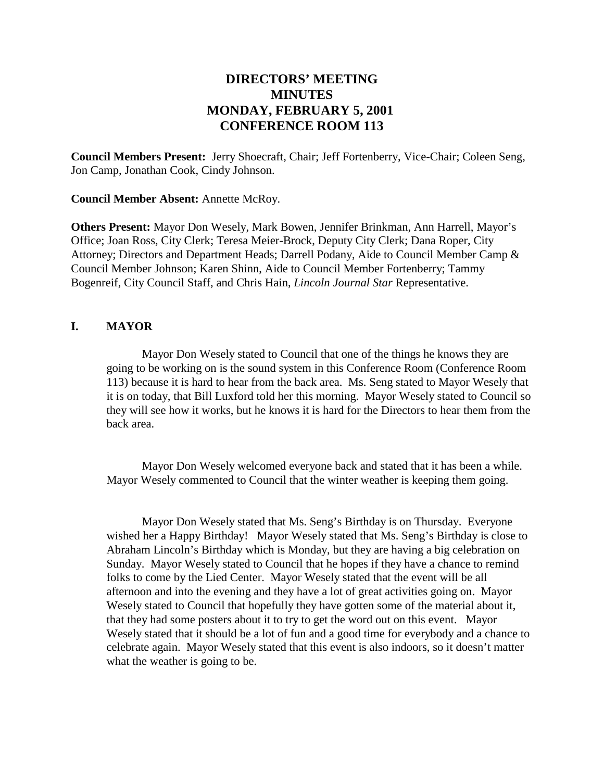# **DIRECTORS' MEETING MINUTES MONDAY, FEBRUARY 5, 2001 CONFERENCE ROOM 113**

**Council Members Present:** Jerry Shoecraft, Chair; Jeff Fortenberry, Vice-Chair; Coleen Seng, Jon Camp, Jonathan Cook, Cindy Johnson.

**Council Member Absent:** Annette McRoy.

**Others Present:** Mayor Don Wesely, Mark Bowen, Jennifer Brinkman, Ann Harrell, Mayor's Office; Joan Ross, City Clerk; Teresa Meier-Brock, Deputy City Clerk; Dana Roper, City Attorney; Directors and Department Heads; Darrell Podany, Aide to Council Member Camp & Council Member Johnson; Karen Shinn, Aide to Council Member Fortenberry; Tammy Bogenreif, City Council Staff, and Chris Hain, *Lincoln Journal Star* Representative.

## **I. MAYOR**

Mayor Don Wesely stated to Council that one of the things he knows they are going to be working on is the sound system in this Conference Room (Conference Room 113) because it is hard to hear from the back area. Ms. Seng stated to Mayor Wesely that it is on today, that Bill Luxford told her this morning. Mayor Wesely stated to Council so they will see how it works, but he knows it is hard for the Directors to hear them from the back area.

Mayor Don Wesely welcomed everyone back and stated that it has been a while. Mayor Wesely commented to Council that the winter weather is keeping them going.

Mayor Don Wesely stated that Ms. Seng's Birthday is on Thursday. Everyone wished her a Happy Birthday! Mayor Wesely stated that Ms. Seng's Birthday is close to Abraham Lincoln's Birthday which is Monday, but they are having a big celebration on Sunday. Mayor Wesely stated to Council that he hopes if they have a chance to remind folks to come by the Lied Center. Mayor Wesely stated that the event will be all afternoon and into the evening and they have a lot of great activities going on. Mayor Wesely stated to Council that hopefully they have gotten some of the material about it, that they had some posters about it to try to get the word out on this event. Mayor Wesely stated that it should be a lot of fun and a good time for everybody and a chance to celebrate again. Mayor Wesely stated that this event is also indoors, so it doesn't matter what the weather is going to be.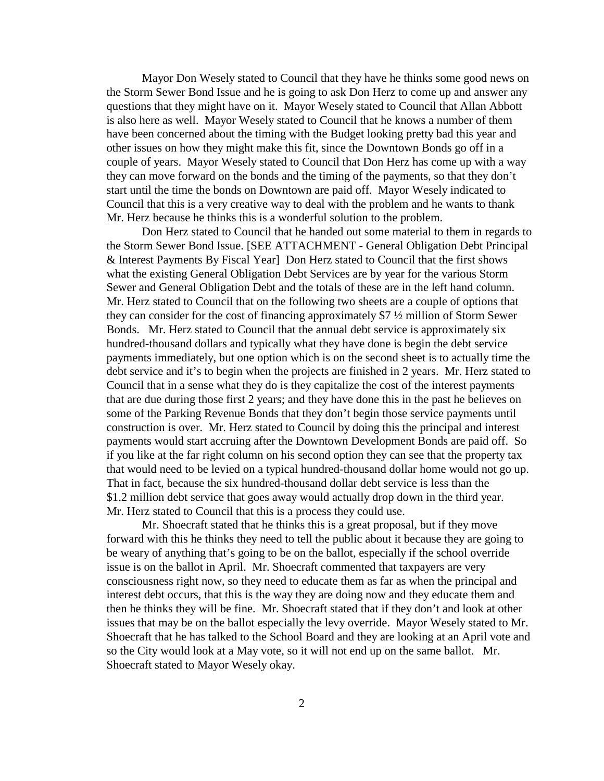Mayor Don Wesely stated to Council that they have he thinks some good news on the Storm Sewer Bond Issue and he is going to ask Don Herz to come up and answer any questions that they might have on it. Mayor Wesely stated to Council that Allan Abbott is also here as well. Mayor Wesely stated to Council that he knows a number of them have been concerned about the timing with the Budget looking pretty bad this year and other issues on how they might make this fit, since the Downtown Bonds go off in a couple of years. Mayor Wesely stated to Council that Don Herz has come up with a way they can move forward on the bonds and the timing of the payments, so that they don't start until the time the bonds on Downtown are paid off. Mayor Wesely indicated to Council that this is a very creative way to deal with the problem and he wants to thank Mr. Herz because he thinks this is a wonderful solution to the problem.

Don Herz stated to Council that he handed out some material to them in regards to the Storm Sewer Bond Issue. [SEE ATTACHMENT - General Obligation Debt Principal & Interest Payments By Fiscal Year] Don Herz stated to Council that the first shows what the existing General Obligation Debt Services are by year for the various Storm Sewer and General Obligation Debt and the totals of these are in the left hand column. Mr. Herz stated to Council that on the following two sheets are a couple of options that they can consider for the cost of financing approximately \$7 ½ million of Storm Sewer Bonds. Mr. Herz stated to Council that the annual debt service is approximately six hundred-thousand dollars and typically what they have done is begin the debt service payments immediately, but one option which is on the second sheet is to actually time the debt service and it's to begin when the projects are finished in 2 years. Mr. Herz stated to Council that in a sense what they do is they capitalize the cost of the interest payments that are due during those first 2 years; and they have done this in the past he believes on some of the Parking Revenue Bonds that they don't begin those service payments until construction is over. Mr. Herz stated to Council by doing this the principal and interest payments would start accruing after the Downtown Development Bonds are paid off. So if you like at the far right column on his second option they can see that the property tax that would need to be levied on a typical hundred-thousand dollar home would not go up. That in fact, because the six hundred-thousand dollar debt service is less than the \$1.2 million debt service that goes away would actually drop down in the third year. Mr. Herz stated to Council that this is a process they could use.

Mr. Shoecraft stated that he thinks this is a great proposal, but if they move forward with this he thinks they need to tell the public about it because they are going to be weary of anything that's going to be on the ballot, especially if the school override issue is on the ballot in April. Mr. Shoecraft commented that taxpayers are very consciousness right now, so they need to educate them as far as when the principal and interest debt occurs, that this is the way they are doing now and they educate them and then he thinks they will be fine. Mr. Shoecraft stated that if they don't and look at other issues that may be on the ballot especially the levy override. Mayor Wesely stated to Mr. Shoecraft that he has talked to the School Board and they are looking at an April vote and so the City would look at a May vote, so it will not end up on the same ballot. Mr. Shoecraft stated to Mayor Wesely okay.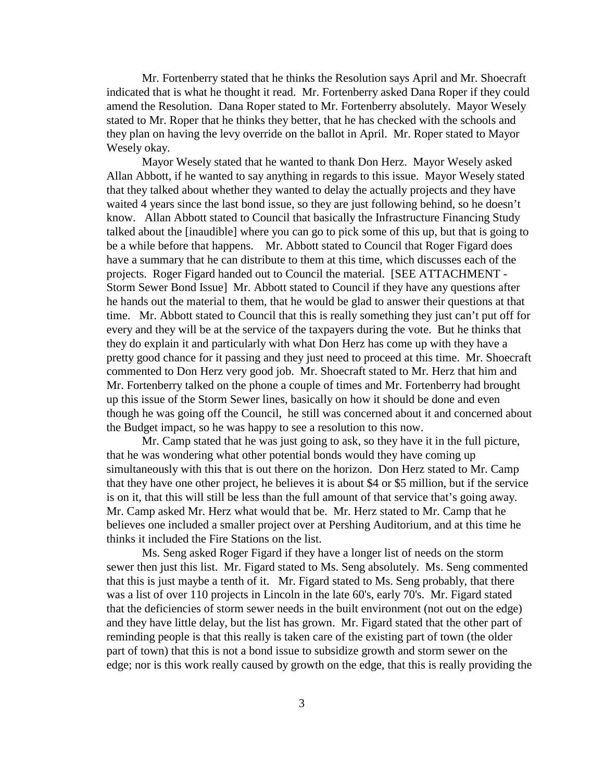Mr. Fortenberry stated that he thinks the Resolution says April and Mr. Shoecraft indicated that is what he thought it read. Mr. Fortenberry asked Dana Roper if they could amend the Resolution. Dana Roper stated to Mr. Fortenberry absolutely. Mayor Wesely stated to Mr. Roper that he thinks they better, that he has checked with the schools and they plan on having the levy override on the ballot in April. Mr. Roper stated to Mayor Wesely okay.

Mayor Wesely stated that he wanted to thank Don Herz. Mayor Wesely asked Allan Abbott, if he wanted to say anything in regards to this issue. Mayor Wesely stated that they talked about whether they wanted to delay the actually projects and they have waited 4 years since the last bond issue, so they are just following behind, so he doesn't know. Allan Abbott stated to Council that basically the Infrastructure Financing Study talked about the [inaudible] where you can go to pick some of this up, but that is going to be a while before that happens. Mr. Abbott stated to Council that Roger Figard does have a summary that he can distribute to them at this time, which discusses each of the projects. Roger Figard handed out to Council the material. [SEE ATTACHMENT - Storm Sewer Bond Issue] Mr. Abbott stated to Council if they have any questions after he hands out the material to them, that he would be glad to answer their questions at that time. Mr. Abbott stated to Council that this is really something they just can't put off for every and they will be at the service of the taxpayers during the vote. But he thinks that they do explain it and particularly with what Don Herz has come up with they have a pretty good chance for it passing and they just need to proceed at this time. Mr. Shoecraft commented to Don Herz very good job. Mr. Shoecraft stated to Mr. Herz that him and Mr. Fortenberry talked on the phone a couple of times and Mr. Fortenberry had brought up this issue of the Storm Sewer lines, basically on how it should be done and even though he was going off the Council, he still was concerned about it and concerned about the Budget impact, so he was happy to see a resolution to this now.

Mr. Camp stated that he was just going to ask, so they have it in the full picture, that he was wondering what other potential bonds would they have coming up simultaneously with this that is out there on the horizon. Don Herz stated to Mr. Camp that they have one other project, he believes it is about \$4 or \$5 million, but if the service is on it, that this will still be less than the full amount of that service that's going away. Mr. Camp asked Mr. Herz what would that be. Mr. Herz stated to Mr. Camp that he believes one included a smaller project over at Pershing Auditorium, and at this time he thinks it included the Fire Stations on the list.

Ms. Seng asked Roger Figard if they have a longer list of needs on the storm sewer then just this list. Mr. Figard stated to Ms. Seng absolutely. Ms. Seng commented that this is just maybe a tenth of it. Mr. Figard stated to Ms. Seng probably, that there was a list of over 110 projects in Lincoln in the late 60's, early 70's. Mr. Figard stated that the deficiencies of storm sewer needs in the built environment (not out on the edge) and they have little delay, but the list has grown. Mr. Figard stated that the other part of reminding people is that this really is taken care of the existing part of town (the older part of town) that this is not a bond issue to subsidize growth and storm sewer on the edge; nor is this work really caused by growth on the edge, that this is really providing the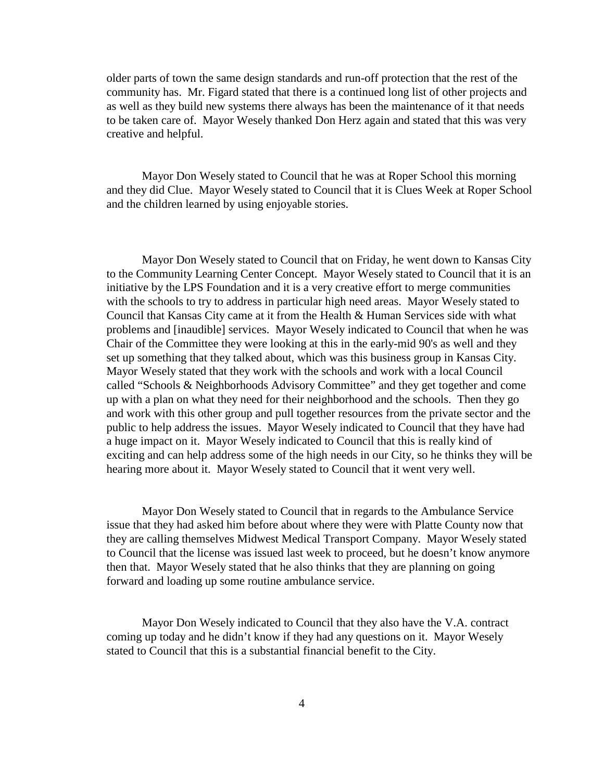older parts of town the same design standards and run-off protection that the rest of the community has. Mr. Figard stated that there is a continued long list of other projects and as well as they build new systems there always has been the maintenance of it that needs to be taken care of. Mayor Wesely thanked Don Herz again and stated that this was very creative and helpful.

Mayor Don Wesely stated to Council that he was at Roper School this morning and they did Clue. Mayor Wesely stated to Council that it is Clues Week at Roper School and the children learned by using enjoyable stories.

Mayor Don Wesely stated to Council that on Friday, he went down to Kansas City to the Community Learning Center Concept. Mayor Wesely stated to Council that it is an initiative by the LPS Foundation and it is a very creative effort to merge communities with the schools to try to address in particular high need areas. Mayor Wesely stated to Council that Kansas City came at it from the Health & Human Services side with what problems and [inaudible] services. Mayor Wesely indicated to Council that when he was Chair of the Committee they were looking at this in the early-mid 90's as well and they set up something that they talked about, which was this business group in Kansas City. Mayor Wesely stated that they work with the schools and work with a local Council called "Schools & Neighborhoods Advisory Committee" and they get together and come up with a plan on what they need for their neighborhood and the schools. Then they go and work with this other group and pull together resources from the private sector and the public to help address the issues. Mayor Wesely indicated to Council that they have had a huge impact on it. Mayor Wesely indicated to Council that this is really kind of exciting and can help address some of the high needs in our City, so he thinks they will be hearing more about it. Mayor Wesely stated to Council that it went very well.

Mayor Don Wesely stated to Council that in regards to the Ambulance Service issue that they had asked him before about where they were with Platte County now that they are calling themselves Midwest Medical Transport Company. Mayor Wesely stated to Council that the license was issued last week to proceed, but he doesn't know anymore then that. Mayor Wesely stated that he also thinks that they are planning on going forward and loading up some routine ambulance service.

Mayor Don Wesely indicated to Council that they also have the V.A. contract coming up today and he didn't know if they had any questions on it. Mayor Wesely stated to Council that this is a substantial financial benefit to the City.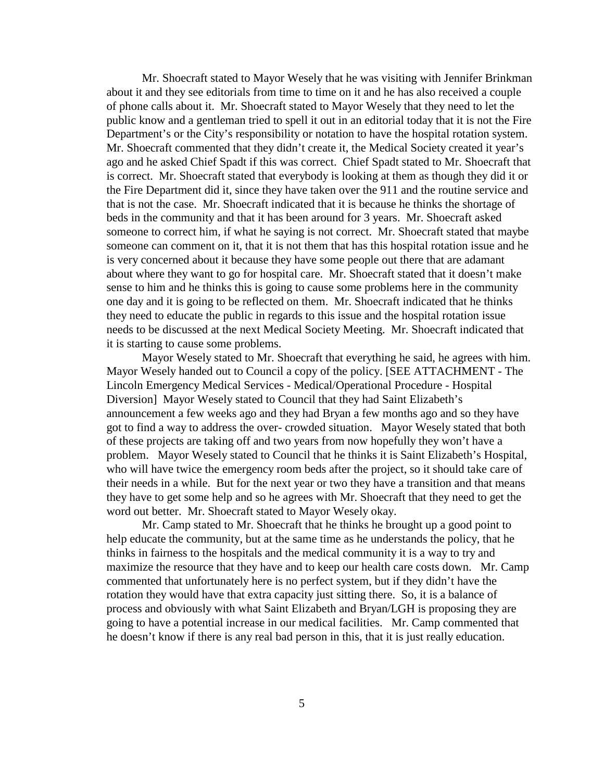Mr. Shoecraft stated to Mayor Wesely that he was visiting with Jennifer Brinkman about it and they see editorials from time to time on it and he has also received a couple of phone calls about it. Mr. Shoecraft stated to Mayor Wesely that they need to let the public know and a gentleman tried to spell it out in an editorial today that it is not the Fire Department's or the City's responsibility or notation to have the hospital rotation system. Mr. Shoecraft commented that they didn't create it, the Medical Society created it year's ago and he asked Chief Spadt if this was correct. Chief Spadt stated to Mr. Shoecraft that is correct. Mr. Shoecraft stated that everybody is looking at them as though they did it or the Fire Department did it, since they have taken over the 911 and the routine service and that is not the case. Mr. Shoecraft indicated that it is because he thinks the shortage of beds in the community and that it has been around for 3 years. Mr. Shoecraft asked someone to correct him, if what he saying is not correct. Mr. Shoecraft stated that maybe someone can comment on it, that it is not them that has this hospital rotation issue and he is very concerned about it because they have some people out there that are adamant about where they want to go for hospital care. Mr. Shoecraft stated that it doesn't make sense to him and he thinks this is going to cause some problems here in the community one day and it is going to be reflected on them. Mr. Shoecraft indicated that he thinks they need to educate the public in regards to this issue and the hospital rotation issue needs to be discussed at the next Medical Society Meeting. Mr. Shoecraft indicated that it is starting to cause some problems.

Mayor Wesely stated to Mr. Shoecraft that everything he said, he agrees with him. Mayor Wesely handed out to Council a copy of the policy. [SEE ATTACHMENT - The Lincoln Emergency Medical Services - Medical/Operational Procedure - Hospital Diversion] Mayor Wesely stated to Council that they had Saint Elizabeth's announcement a few weeks ago and they had Bryan a few months ago and so they have got to find a way to address the over- crowded situation. Mayor Wesely stated that both of these projects are taking off and two years from now hopefully they won't have a problem. Mayor Wesely stated to Council that he thinks it is Saint Elizabeth's Hospital, who will have twice the emergency room beds after the project, so it should take care of their needs in a while. But for the next year or two they have a transition and that means they have to get some help and so he agrees with Mr. Shoecraft that they need to get the word out better. Mr. Shoecraft stated to Mayor Wesely okay.

Mr. Camp stated to Mr. Shoecraft that he thinks he brought up a good point to help educate the community, but at the same time as he understands the policy, that he thinks in fairness to the hospitals and the medical community it is a way to try and maximize the resource that they have and to keep our health care costs down. Mr. Camp commented that unfortunately here is no perfect system, but if they didn't have the rotation they would have that extra capacity just sitting there. So, it is a balance of process and obviously with what Saint Elizabeth and Bryan/LGH is proposing they are going to have a potential increase in our medical facilities. Mr. Camp commented that he doesn't know if there is any real bad person in this, that it is just really education.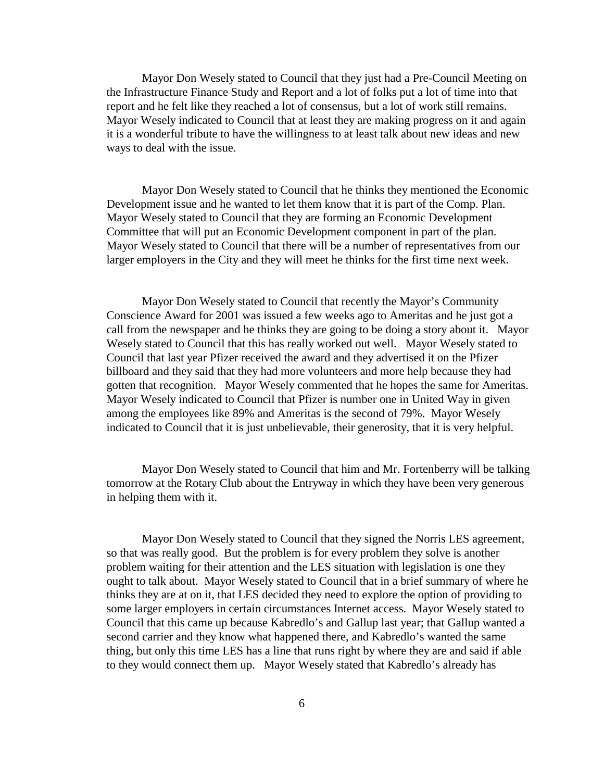Mayor Don Wesely stated to Council that they just had a Pre-Council Meeting on the Infrastructure Finance Study and Report and a lot of folks put a lot of time into that report and he felt like they reached a lot of consensus, but a lot of work still remains. Mayor Wesely indicated to Council that at least they are making progress on it and again it is a wonderful tribute to have the willingness to at least talk about new ideas and new ways to deal with the issue.

Mayor Don Wesely stated to Council that he thinks they mentioned the Economic Development issue and he wanted to let them know that it is part of the Comp. Plan. Mayor Wesely stated to Council that they are forming an Economic Development Committee that will put an Economic Development component in part of the plan. Mayor Wesely stated to Council that there will be a number of representatives from our larger employers in the City and they will meet he thinks for the first time next week.

Mayor Don Wesely stated to Council that recently the Mayor's Community Conscience Award for 2001 was issued a few weeks ago to Ameritas and he just got a call from the newspaper and he thinks they are going to be doing a story about it. Mayor Wesely stated to Council that this has really worked out well. Mayor Wesely stated to Council that last year Pfizer received the award and they advertised it on the Pfizer billboard and they said that they had more volunteers and more help because they had gotten that recognition. Mayor Wesely commented that he hopes the same for Ameritas. Mayor Wesely indicated to Council that Pfizer is number one in United Way in given among the employees like 89% and Ameritas is the second of 79%. Mayor Wesely indicated to Council that it is just unbelievable, their generosity, that it is very helpful.

Mayor Don Wesely stated to Council that him and Mr. Fortenberry will be talking tomorrow at the Rotary Club about the Entryway in which they have been very generous in helping them with it.

Mayor Don Wesely stated to Council that they signed the Norris LES agreement, so that was really good. But the problem is for every problem they solve is another problem waiting for their attention and the LES situation with legislation is one they ought to talk about. Mayor Wesely stated to Council that in a brief summary of where he thinks they are at on it, that LES decided they need to explore the option of providing to some larger employers in certain circumstances Internet access. Mayor Wesely stated to Council that this came up because Kabredlo's and Gallup last year; that Gallup wanted a second carrier and they know what happened there, and Kabredlo's wanted the same thing, but only this time LES has a line that runs right by where they are and said if able to they would connect them up. Mayor Wesely stated that Kabredlo's already has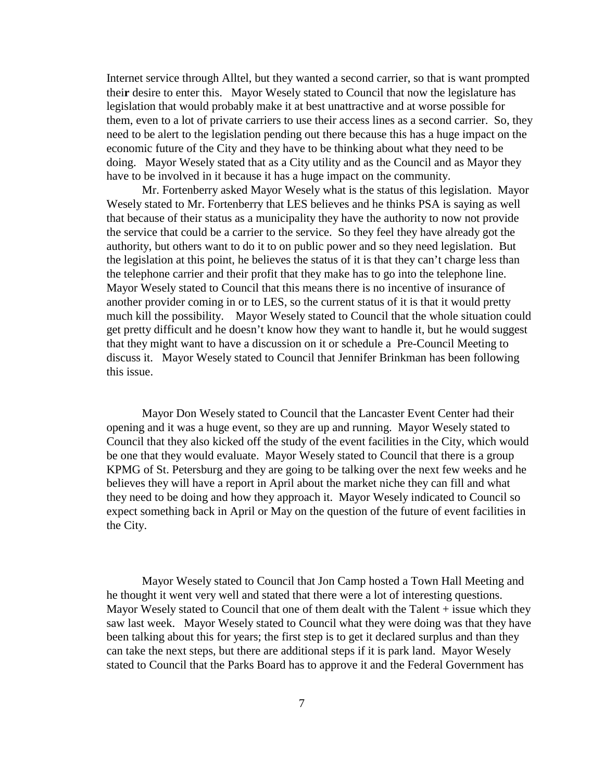Internet service through Alltel, but they wanted a second carrier, so that is want prompted thei**r** desire to enter this. Mayor Wesely stated to Council that now the legislature has legislation that would probably make it at best unattractive and at worse possible for them, even to a lot of private carriers to use their access lines as a second carrier. So, they need to be alert to the legislation pending out there because this has a huge impact on the economic future of the City and they have to be thinking about what they need to be doing. Mayor Wesely stated that as a City utility and as the Council and as Mayor they have to be involved in it because it has a huge impact on the community.

Mr. Fortenberry asked Mayor Wesely what is the status of this legislation. Mayor Wesely stated to Mr. Fortenberry that LES believes and he thinks PSA is saying as well that because of their status as a municipality they have the authority to now not provide the service that could be a carrier to the service. So they feel they have already got the authority, but others want to do it to on public power and so they need legislation. But the legislation at this point, he believes the status of it is that they can't charge less than the telephone carrier and their profit that they make has to go into the telephone line. Mayor Wesely stated to Council that this means there is no incentive of insurance of another provider coming in or to LES, so the current status of it is that it would pretty much kill the possibility. Mayor Wesely stated to Council that the whole situation could get pretty difficult and he doesn't know how they want to handle it, but he would suggest that they might want to have a discussion on it or schedule a Pre-Council Meeting to discuss it. Mayor Wesely stated to Council that Jennifer Brinkman has been following this issue.

Mayor Don Wesely stated to Council that the Lancaster Event Center had their opening and it was a huge event, so they are up and running. Mayor Wesely stated to Council that they also kicked off the study of the event facilities in the City, which would be one that they would evaluate. Mayor Wesely stated to Council that there is a group KPMG of St. Petersburg and they are going to be talking over the next few weeks and he believes they will have a report in April about the market niche they can fill and what they need to be doing and how they approach it. Mayor Wesely indicated to Council so expect something back in April or May on the question of the future of event facilities in the City.

Mayor Wesely stated to Council that Jon Camp hosted a Town Hall Meeting and he thought it went very well and stated that there were a lot of interesting questions. Mayor Wesely stated to Council that one of them dealt with the Talent + issue which they saw last week. Mayor Wesely stated to Council what they were doing was that they have been talking about this for years; the first step is to get it declared surplus and than they can take the next steps, but there are additional steps if it is park land. Mayor Wesely stated to Council that the Parks Board has to approve it and the Federal Government has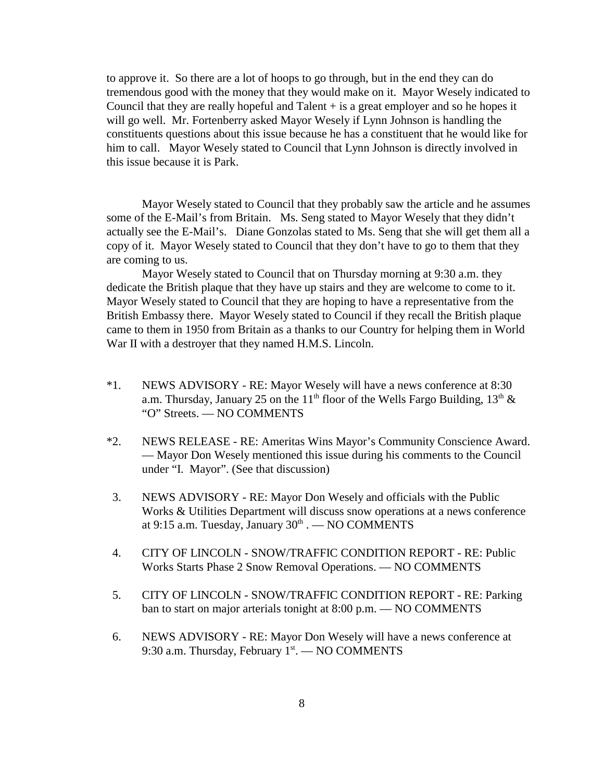to approve it. So there are a lot of hoops to go through, but in the end they can do tremendous good with the money that they would make on it. Mayor Wesely indicated to Council that they are really hopeful and  $T$ alent  $+$  is a great employer and so he hopes it will go well. Mr. Fortenberry asked Mayor Wesely if Lynn Johnson is handling the constituents questions about this issue because he has a constituent that he would like for him to call. Mayor Wesely stated to Council that Lynn Johnson is directly involved in this issue because it is Park.

Mayor Wesely stated to Council that they probably saw the article and he assumes some of the E-Mail's from Britain. Ms. Seng stated to Mayor Wesely that they didn't actually see the E-Mail's. Diane Gonzolas stated to Ms. Seng that she will get them all a copy of it. Mayor Wesely stated to Council that they don't have to go to them that they are coming to us.

Mayor Wesely stated to Council that on Thursday morning at 9:30 a.m. they dedicate the British plaque that they have up stairs and they are welcome to come to it. Mayor Wesely stated to Council that they are hoping to have a representative from the British Embassy there. Mayor Wesely stated to Council if they recall the British plaque came to them in 1950 from Britain as a thanks to our Country for helping them in World War II with a destroyer that they named H.M.S. Lincoln.

- \*1. NEWS ADVISORY RE: Mayor Wesely will have a news conference at 8:30 a.m. Thursday, January 25 on the 11<sup>th</sup> floor of the Wells Fargo Building, 13<sup>th</sup> & "O" Streets. — NO COMMENTS
- \*2. NEWS RELEASE RE: Ameritas Wins Mayor's Community Conscience Award. — Mayor Don Wesely mentioned this issue during his comments to the Council under "I. Mayor". (See that discussion)
- 3. NEWS ADVISORY RE: Mayor Don Wesely and officials with the Public Works & Utilities Department will discuss snow operations at a news conference at 9:15 a.m. Tuesday, January  $30<sup>th</sup>$ .  $-$  NO COMMENTS
- 4. CITY OF LINCOLN SNOW/TRAFFIC CONDITION REPORT RE: Public Works Starts Phase 2 Snow Removal Operations. — NO COMMENTS
- 5. CITY OF LINCOLN SNOW/TRAFFIC CONDITION REPORT RE: Parking ban to start on major arterials tonight at 8:00 p.m. — NO COMMENTS
- 6. NEWS ADVISORY RE: Mayor Don Wesely will have a news conference at 9:30 a.m. Thursday, February  $1<sup>st</sup>$ . — NO COMMENTS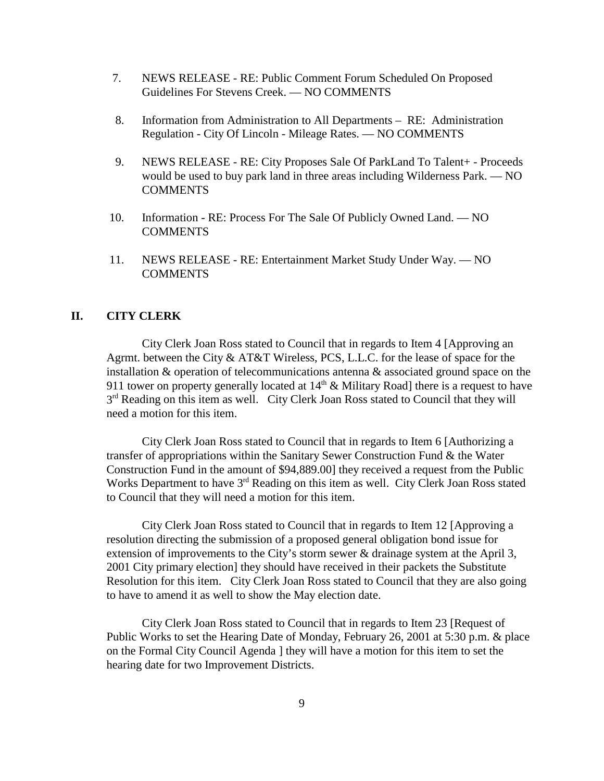- 7. NEWS RELEASE RE: Public Comment Forum Scheduled On Proposed Guidelines For Stevens Creek. — NO COMMENTS
- 8. Information from Administration to All Departments RE: Administration Regulation - City Of Lincoln - Mileage Rates. — NO COMMENTS
- 9. NEWS RELEASE RE: City Proposes Sale Of ParkLand To Talent+ Proceeds would be used to buy park land in three areas including Wilderness Park. — NO **COMMENTS**
- 10. Information RE: Process For The Sale Of Publicly Owned Land. NO COMMENTS
- 11. NEWS RELEASE RE: Entertainment Market Study Under Way. NO **COMMENTS**

#### **II. CITY CLERK**

City Clerk Joan Ross stated to Council that in regards to Item 4 [Approving an Agrmt. between the City & AT&T Wireless, PCS, L.L.C. for the lease of space for the installation & operation of telecommunications antenna & associated ground space on the 911 tower on property generally located at  $14<sup>th</sup>$  & Military Road] there is a request to have  $3<sup>rd</sup>$  Reading on this item as well. City Clerk Joan Ross stated to Council that they will need a motion for this item.

City Clerk Joan Ross stated to Council that in regards to Item 6 [Authorizing a transfer of appropriations within the Sanitary Sewer Construction Fund & the Water Construction Fund in the amount of \$94,889.00] they received a request from the Public Works Department to have 3<sup>rd</sup> Reading on this item as well. City Clerk Joan Ross stated to Council that they will need a motion for this item.

City Clerk Joan Ross stated to Council that in regards to Item 12 [Approving a resolution directing the submission of a proposed general obligation bond issue for extension of improvements to the City's storm sewer & drainage system at the April 3, 2001 City primary election] they should have received in their packets the Substitute Resolution for this item. City Clerk Joan Ross stated to Council that they are also going to have to amend it as well to show the May election date.

City Clerk Joan Ross stated to Council that in regards to Item 23 [Request of Public Works to set the Hearing Date of Monday, February 26, 2001 at 5:30 p.m. & place on the Formal City Council Agenda ] they will have a motion for this item to set the hearing date for two Improvement Districts.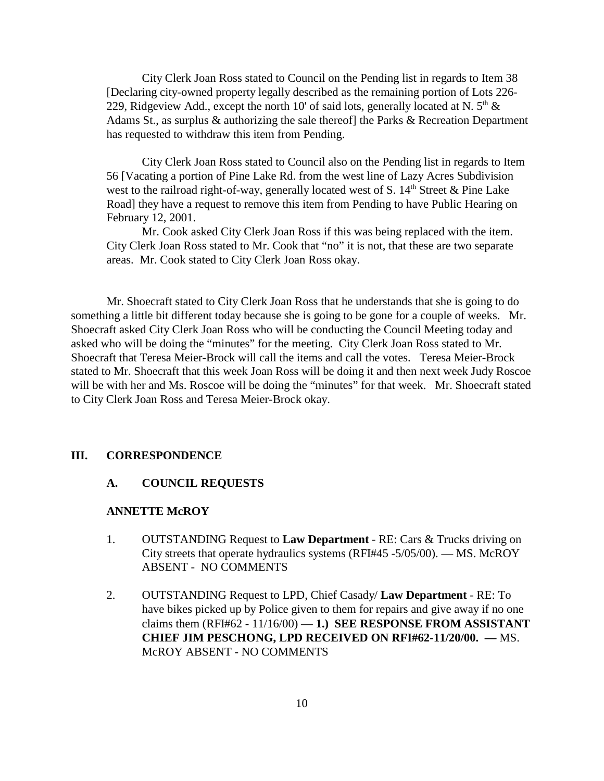City Clerk Joan Ross stated to Council on the Pending list in regards to Item 38 [Declaring city-owned property legally described as the remaining portion of Lots 226- 229, Ridgeview Add., except the north 10' of said lots, generally located at N.  $5<sup>th</sup>$  & Adams St., as surplus & authorizing the sale thereof] the Parks & Recreation Department has requested to withdraw this item from Pending.

City Clerk Joan Ross stated to Council also on the Pending list in regards to Item 56 [Vacating a portion of Pine Lake Rd. from the west line of Lazy Acres Subdivision west to the railroad right-of-way, generally located west of S.  $14<sup>th</sup>$  Street & Pine Lake Road] they have a request to remove this item from Pending to have Public Hearing on February 12, 2001.

Mr. Cook asked City Clerk Joan Ross if this was being replaced with the item. City Clerk Joan Ross stated to Mr. Cook that "no" it is not, that these are two separate areas. Mr. Cook stated to City Clerk Joan Ross okay.

Mr. Shoecraft stated to City Clerk Joan Ross that he understands that she is going to do something a little bit different today because she is going to be gone for a couple of weeks. Mr. Shoecraft asked City Clerk Joan Ross who will be conducting the Council Meeting today and asked who will be doing the "minutes" for the meeting. City Clerk Joan Ross stated to Mr. Shoecraft that Teresa Meier-Brock will call the items and call the votes. Teresa Meier-Brock stated to Mr. Shoecraft that this week Joan Ross will be doing it and then next week Judy Roscoe will be with her and Ms. Roscoe will be doing the "minutes" for that week. Mr. Shoecraft stated to City Clerk Joan Ross and Teresa Meier-Brock okay.

## **III. CORRESPONDENCE**

#### **A. COUNCIL REQUESTS**

#### **ANNETTE McROY**

- 1. OUTSTANDING Request to **Law Department** RE: Cars & Trucks driving on City streets that operate hydraulics systems (RFI#45 -5/05/00). — MS. McROY ABSENT - NO COMMENTS
- 2. OUTSTANDING Request to LPD, Chief Casady/ **Law Department** RE: To have bikes picked up by Police given to them for repairs and give away if no one claims them  $(RFI#62 - 11/16/00) - 1$ .) **SEE RESPONSE FROM ASSISTANT CHIEF JIM PESCHONG, LPD RECEIVED ON RFI#62-11/20/00. —** MS. McROY ABSENT - NO COMMENTS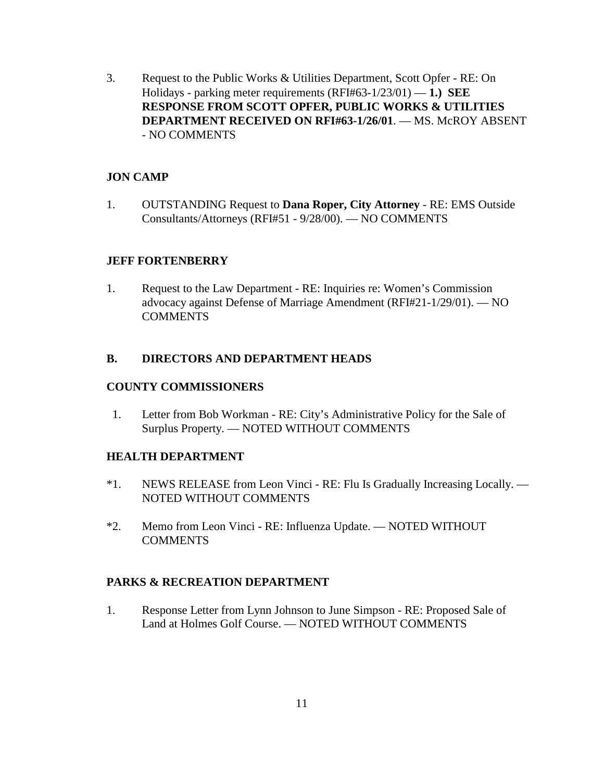3. Request to the Public Works & Utilities Department, Scott Opfer - RE: On Holidays - parking meter requirements (RFI#63-1/23/01) — **1.) SEE RESPONSE FROM SCOTT OPFER, PUBLIC WORKS & UTILITIES DEPARTMENT RECEIVED ON RFI#63-1/26/01**. — MS. McROY ABSENT - NO COMMENTS

## **JON CAMP**

1. OUTSTANDING Request to **Dana Roper, City Attorney** - RE: EMS Outside Consultants/Attorneys (RFI#51 - 9/28/00). — NO COMMENTS

### **JEFF FORTENBERRY**

1. Request to the Law Department - RE: Inquiries re: Women's Commission advocacy against Defense of Marriage Amendment (RFI#21-1/29/01). — NO **COMMENTS** 

## **B. DIRECTORS AND DEPARTMENT HEADS**

#### **COUNTY COMMISSIONERS**

 1. Letter from Bob Workman - RE: City's Administrative Policy for the Sale of Surplus Property. — NOTED WITHOUT COMMENTS

### **HEALTH DEPARTMENT**

- \*1. NEWS RELEASE from Leon Vinci RE: Flu Is Gradually Increasing Locally. NOTED WITHOUT COMMENTS
- \*2. Memo from Leon Vinci RE: Influenza Update. NOTED WITHOUT COMMENTS

## **PARKS & RECREATION DEPARTMENT**

1. Response Letter from Lynn Johnson to June Simpson - RE: Proposed Sale of Land at Holmes Golf Course. — NOTED WITHOUT COMMENTS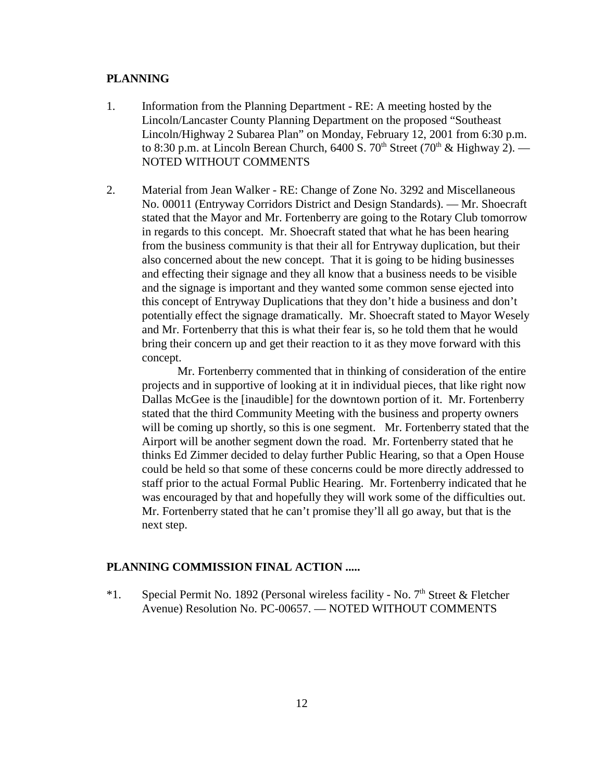#### **PLANNING**

- 1. Information from the Planning Department RE: A meeting hosted by the Lincoln/Lancaster County Planning Department on the proposed "Southeast Lincoln/Highway 2 Subarea Plan" on Monday, February 12, 2001 from 6:30 p.m. to 8:30 p.m. at Lincoln Berean Church,  $6400$  S.  $70<sup>th</sup>$  Street ( $70<sup>th</sup>$  & Highway 2). — NOTED WITHOUT COMMENTS
- 2. Material from Jean Walker RE: Change of Zone No. 3292 and Miscellaneous No. 00011 (Entryway Corridors District and Design Standards). — Mr. Shoecraft stated that the Mayor and Mr. Fortenberry are going to the Rotary Club tomorrow in regards to this concept. Mr. Shoecraft stated that what he has been hearing from the business community is that their all for Entryway duplication, but their also concerned about the new concept. That it is going to be hiding businesses and effecting their signage and they all know that a business needs to be visible and the signage is important and they wanted some common sense ejected into this concept of Entryway Duplications that they don't hide a business and don't potentially effect the signage dramatically. Mr. Shoecraft stated to Mayor Wesely and Mr. Fortenberry that this is what their fear is, so he told them that he would bring their concern up and get their reaction to it as they move forward with this concept.

Mr. Fortenberry commented that in thinking of consideration of the entire projects and in supportive of looking at it in individual pieces, that like right now Dallas McGee is the [inaudible] for the downtown portion of it. Mr. Fortenberry stated that the third Community Meeting with the business and property owners will be coming up shortly, so this is one segment. Mr. Fortenberry stated that the Airport will be another segment down the road. Mr. Fortenberry stated that he thinks Ed Zimmer decided to delay further Public Hearing, so that a Open House could be held so that some of these concerns could be more directly addressed to staff prior to the actual Formal Public Hearing. Mr. Fortenberry indicated that he was encouraged by that and hopefully they will work some of the difficulties out. Mr. Fortenberry stated that he can't promise they'll all go away, but that is the next step.

#### **PLANNING COMMISSION FINAL ACTION .....**

\*1. Special Permit No. 1892 (Personal wireless facility - No.  $7<sup>th</sup>$  Street & Fletcher Avenue) Resolution No. PC-00657. — NOTED WITHOUT COMMENTS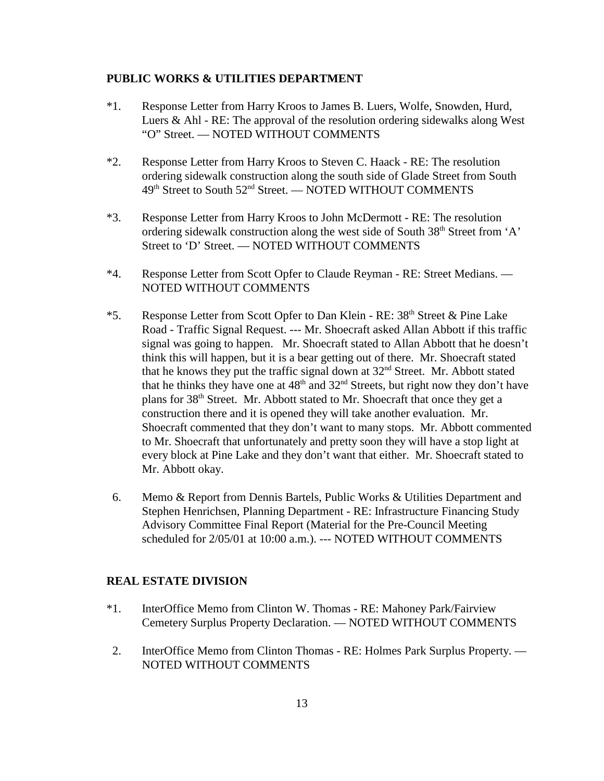#### **PUBLIC WORKS & UTILITIES DEPARTMENT**

- \*1. Response Letter from Harry Kroos to James B. Luers, Wolfe, Snowden, Hurd, Luers & Ahl - RE: The approval of the resolution ordering sidewalks along West "O" Street. — NOTED WITHOUT COMMENTS
- \*2. Response Letter from Harry Kroos to Steven C. Haack RE: The resolution ordering sidewalk construction along the south side of Glade Street from South 49<sup>th</sup> Street to South 52<sup>nd</sup> Street. — NOTED WITHOUT COMMENTS
- \*3. Response Letter from Harry Kroos to John McDermott RE: The resolution ordering sidewalk construction along the west side of South 38<sup>th</sup> Street from 'A' Street to 'D' Street. — NOTED WITHOUT COMMENTS
- \*4. Response Letter from Scott Opfer to Claude Reyman RE: Street Medians. NOTED WITHOUT COMMENTS
- \*5. Response Letter from Scott Opfer to Dan Klein RE: 38<sup>th</sup> Street & Pine Lake Road - Traffic Signal Request. --- Mr. Shoecraft asked Allan Abbott if this traffic signal was going to happen. Mr. Shoecraft stated to Allan Abbott that he doesn't think this will happen, but it is a bear getting out of there. Mr. Shoecraft stated that he knows they put the traffic signal down at  $32<sup>nd</sup>$  Street. Mr. Abbott stated that he thinks they have one at  $48<sup>th</sup>$  and  $32<sup>nd</sup>$  Streets, but right now they don't have plans for 38<sup>th</sup> Street. Mr. Abbott stated to Mr. Shoecraft that once they get a construction there and it is opened they will take another evaluation. Mr. Shoecraft commented that they don't want to many stops. Mr. Abbott commented to Mr. Shoecraft that unfortunately and pretty soon they will have a stop light at every block at Pine Lake and they don't want that either. Mr. Shoecraft stated to Mr. Abbott okay.
- 6. Memo & Report from Dennis Bartels, Public Works & Utilities Department and Stephen Henrichsen, Planning Department - RE: Infrastructure Financing Study Advisory Committee Final Report (Material for the Pre-Council Meeting scheduled for 2/05/01 at 10:00 a.m.). --- NOTED WITHOUT COMMENTS

#### **REAL ESTATE DIVISION**

- \*1. InterOffice Memo from Clinton W. Thomas RE: Mahoney Park/Fairview Cemetery Surplus Property Declaration. — NOTED WITHOUT COMMENTS
- 2. InterOffice Memo from Clinton Thomas RE: Holmes Park Surplus Property. NOTED WITHOUT COMMENTS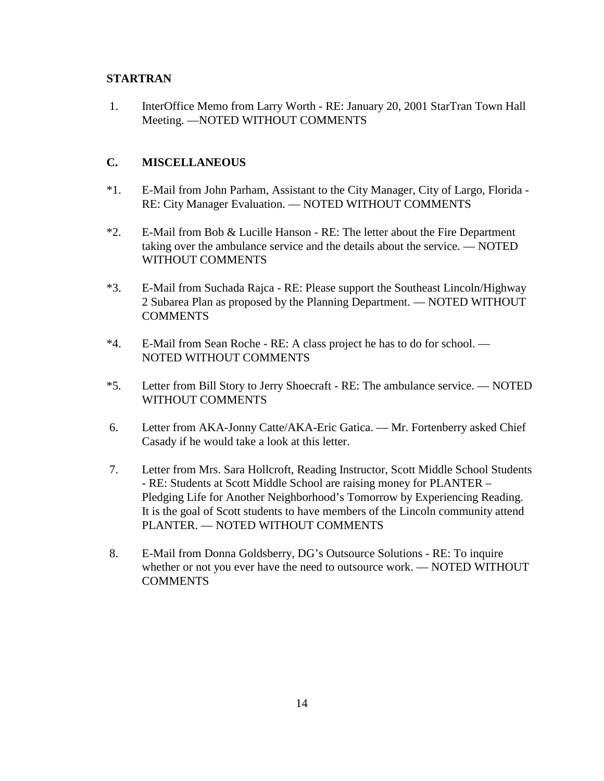## **STARTRAN**

 1. InterOffice Memo from Larry Worth - RE: January 20, 2001 StarTran Town Hall Meeting. —NOTED WITHOUT COMMENTS

## **C. MISCELLANEOUS**

- \*1. E-Mail from John Parham, Assistant to the City Manager, City of Largo, Florida RE: City Manager Evaluation. — NOTED WITHOUT COMMENTS
- \*2. E-Mail from Bob & Lucille Hanson RE: The letter about the Fire Department taking over the ambulance service and the details about the service. — NOTED WITHOUT COMMENTS
- \*3. E-Mail from Suchada Rajca RE: Please support the Southeast Lincoln/Highway 2 Subarea Plan as proposed by the Planning Department. — NOTED WITHOUT **COMMENTS**
- \*4. E-Mail from Sean Roche RE: A class project he has to do for school. NOTED WITHOUT COMMENTS
- \*5. Letter from Bill Story to Jerry Shoecraft RE: The ambulance service. NOTED WITHOUT COMMENTS
- 6. Letter from AKA-Jonny Catte/AKA-Eric Gatica. Mr. Fortenberry asked Chief Casady if he would take a look at this letter.
- 7. Letter from Mrs. Sara Hollcroft, Reading Instructor, Scott Middle School Students - RE: Students at Scott Middle School are raising money for PLANTER – Pledging Life for Another Neighborhood's Tomorrow by Experiencing Reading. It is the goal of Scott students to have members of the Lincoln community attend PLANTER. — NOTED WITHOUT COMMENTS
- 8. E-Mail from Donna Goldsberry, DG's Outsource Solutions RE: To inquire whether or not you ever have the need to outsource work. — NOTED WITHOUT **COMMENTS**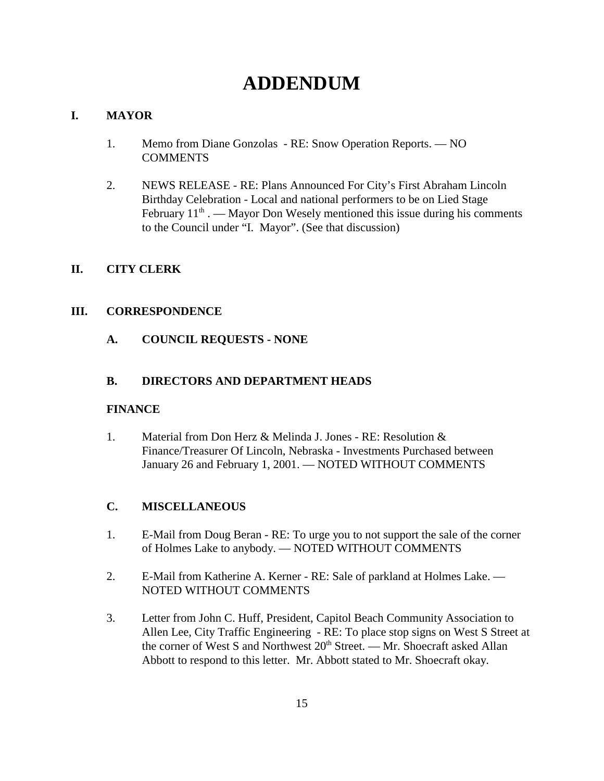# **ADDENDUM**

## **I. MAYOR**

- 1. Memo from Diane Gonzolas RE: Snow Operation Reports. NO **COMMENTS**
- 2. NEWS RELEASE RE: Plans Announced For City's First Abraham Lincoln Birthday Celebration - Local and national performers to be on Lied Stage February  $11<sup>th</sup>$ . — Mayor Don Wesely mentioned this issue during his comments to the Council under "I. Mayor". (See that discussion)

## **II. CITY CLERK**

## **III. CORRESPONDENCE**

**A. COUNCIL REQUESTS - NONE**

## **B. DIRECTORS AND DEPARTMENT HEADS**

### **FINANCE**

1. Material from Don Herz & Melinda J. Jones - RE: Resolution & Finance/Treasurer Of Lincoln, Nebraska - Investments Purchased between January 26 and February 1, 2001. — NOTED WITHOUT COMMENTS

# **C. MISCELLANEOUS**

- 1. E-Mail from Doug Beran RE: To urge you to not support the sale of the corner of Holmes Lake to anybody. — NOTED WITHOUT COMMENTS
- 2. E-Mail from Katherine A. Kerner RE: Sale of parkland at Holmes Lake. NOTED WITHOUT COMMENTS
- 3. Letter from John C. Huff, President, Capitol Beach Community Association to Allen Lee, City Traffic Engineering - RE: To place stop signs on West S Street at the corner of West S and Northwest  $20<sup>th</sup>$  Street. — Mr. Shoecraft asked Allan Abbott to respond to this letter. Mr. Abbott stated to Mr. Shoecraft okay.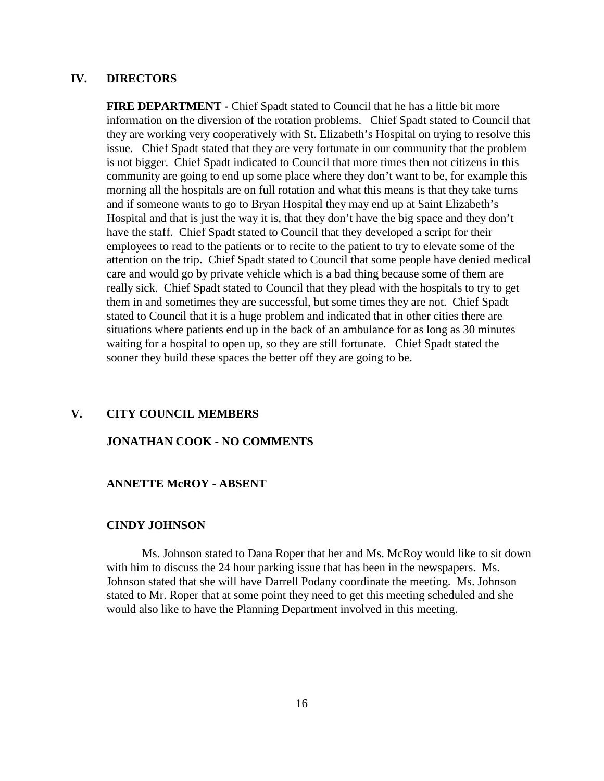#### **IV. DIRECTORS**

**FIRE DEPARTMENT -** Chief Spadt stated to Council that he has a little bit more information on the diversion of the rotation problems. Chief Spadt stated to Council that they are working very cooperatively with St. Elizabeth's Hospital on trying to resolve this issue. Chief Spadt stated that they are very fortunate in our community that the problem is not bigger. Chief Spadt indicated to Council that more times then not citizens in this community are going to end up some place where they don't want to be, for example this morning all the hospitals are on full rotation and what this means is that they take turns and if someone wants to go to Bryan Hospital they may end up at Saint Elizabeth's Hospital and that is just the way it is, that they don't have the big space and they don't have the staff. Chief Spadt stated to Council that they developed a script for their employees to read to the patients or to recite to the patient to try to elevate some of the attention on the trip. Chief Spadt stated to Council that some people have denied medical care and would go by private vehicle which is a bad thing because some of them are really sick. Chief Spadt stated to Council that they plead with the hospitals to try to get them in and sometimes they are successful, but some times they are not. Chief Spadt stated to Council that it is a huge problem and indicated that in other cities there are situations where patients end up in the back of an ambulance for as long as 30 minutes waiting for a hospital to open up, so they are still fortunate. Chief Spadt stated the sooner they build these spaces the better off they are going to be.

#### **V. CITY COUNCIL MEMBERS**

#### **JONATHAN COOK - NO COMMENTS**

#### **ANNETTE McROY - ABSENT**

#### **CINDY JOHNSON**

Ms. Johnson stated to Dana Roper that her and Ms. McRoy would like to sit down with him to discuss the 24 hour parking issue that has been in the newspapers. Ms. Johnson stated that she will have Darrell Podany coordinate the meeting. Ms. Johnson stated to Mr. Roper that at some point they need to get this meeting scheduled and she would also like to have the Planning Department involved in this meeting.